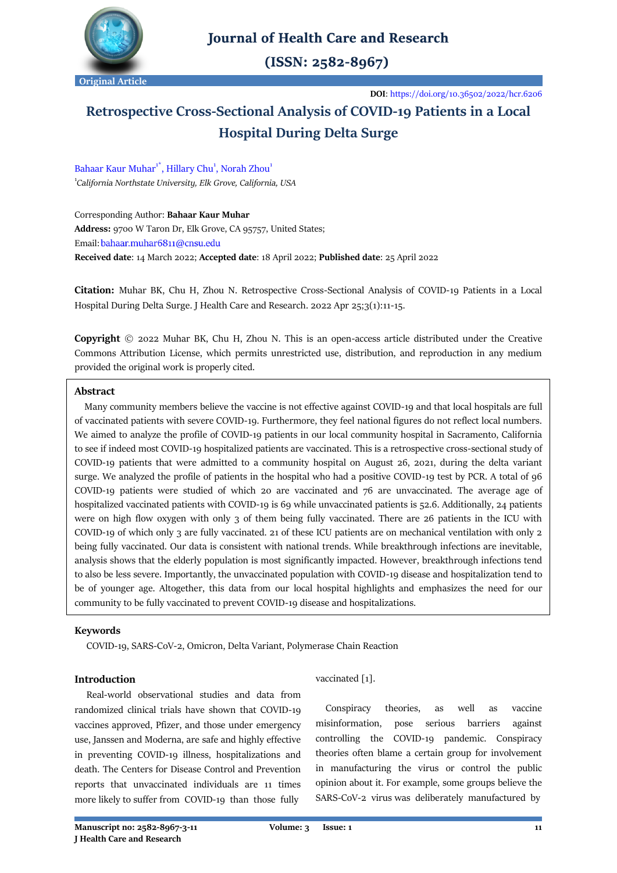

# **Journal of Health Care and Research**

 $(ISSN: 2582-8967)$ 

**DOI**[: https://doi.org/10.36502/2022/hcr.6206](https://doi.org/10.36502/2022/hcr.6206)

# **Retrospective Cross-Sectional Analysis of COVID-19 Patients in a Local Hospital During Delta Surge**

Bahaar Kaur Muhar<sup>1\*</sup>, Hillary Chu<sup>1</sup>, Norah Zhou<sup>1</sup> 1 *[California Northstate University,](https://www.cnsu.edu/) Elk Grove, California, USA*

Corresponding Author: **Bahaar Kaur Muhar Address:** 9700 W Taron Dr, Elk Grove, CA 95757, United States; Email: bahaar.muhar6811@cnsu.edu **Received date**: 14 March 2022; **Accepted date**: 18 April 2022; **Published date**: 25 April 2022

**Citation:** Muhar BK, Chu H, Zhou N. Retrospective Cross-Sectional Analysis of COVID-19 Patients in a Local Hospital During Delta Surge. J Health Care and Research. 2022 Apr 25;3(1):11-15.

**Copyright** © 2022 Muhar BK, Chu H, Zhou N. This is an open-access article distributed under the Creative Commons Attribution License, which permits unrestricted use, distribution, and reproduction in any medium provided the original work is properly cited.

# **Abstract**

 Many community members believe the vaccine is not effective against COVID-19 and that local hospitals are full of vaccinated patients with severe COVID-19. Furthermore, they feel national figures do not reflect local numbers. We aimed to analyze the profile of COVID-19 patients in our local community hospital in Sacramento, California to see if indeed most COVID-19 hospitalized patients are vaccinated. This is a retrospective cross-sectional study of COVID-19 patients that were admitted to a community hospital on August 26, 2021, during the delta variant surge. We analyzed the profile of patients in the hospital who had a positive COVID-19 test by PCR. A total of 96 COVID-19 patients were studied of which 20 are vaccinated and 76 are unvaccinated. The average age of hospitalized vaccinated patients with COVID-19 is 69 while unvaccinated patients is 52.6. Additionally, 24 patients were on high flow oxygen with only 3 of them being fully vaccinated. There are 26 patients in the ICU with COVID-19 of which only 3 are fully vaccinated. 21 of these ICU patients are on mechanical ventilation with only 2 being fully vaccinated. Our data is consistent with national trends. While breakthrough infections are inevitable, analysis shows that the elderly population is most significantly impacted. However, breakthrough infections tend to also be less severe. Importantly, the unvaccinated population with COVID-19 disease and hospitalization tend to be of younger age. Altogether, this data from our local hospital highlights and emphasizes the need for our community to be fully vaccinated to prevent COVID-19 disease and hospitalizations.

# **Keywords**

COVID-19, SARS-CoV-2, Omicron, Delta Variant, Polymerase Chain Reaction

# **Introduction**

 Real-world observational studies and data from randomized clinical trials have shown that COVID-19 vaccines approved, Pfizer, and those under emergency use, Janssen and Moderna, are safe and highly effective in preventing COVID-19 illness, hospitalizations and death. The Centers for Disease Control and Prevention reports that unvaccinated individuals are 11 times more likely to suffer from COVID-19 than those fully

vaccinated [1].

 Conspiracy theories, as well as vaccine misinformation, pose serious barriers against controlling the COVID-19 pandemic. Conspiracy theories often blame a certain group for involvement in manufacturing the virus or control the public opinion about it. For example, some groups believe the SARS-CoV-2 virus was deliberately manufactured by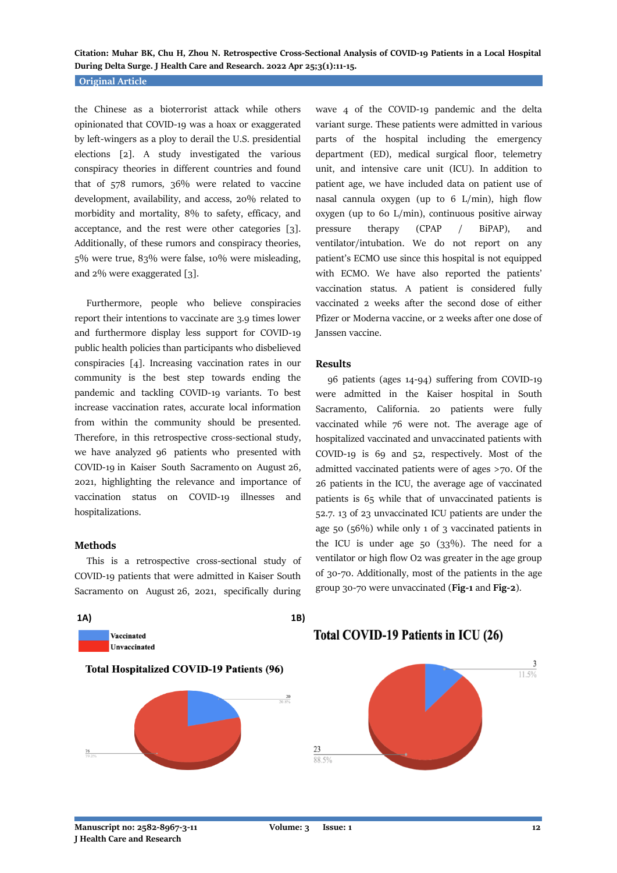# **Original Article**

the Chinese as a bioterrorist attack while others opinionated that COVID-19 was a hoax or exaggerated by left-wingers as a ploy to derail the U.S. presidential elections [2]. A study investigated the various conspiracy theories in different countries and found that of 578 rumors, 36% were related to vaccine development, availability, and access, 20% related to morbidity and mortality, 8% to safety, efficacy, and acceptance, and the rest were other categories [3]. Additionally, of these rumors and conspiracy theories, 5% were true, 83% were false, 10% were misleading, and 2% were exaggerated [3].

 Furthermore, people who believe conspiracies report their intentions to vaccinate are 3.9 times lower and furthermore display less support for COVID-19 public health policies than participants who disbelieved conspiracies [4]. Increasing vaccination rates in our community is the best step towards ending the pandemic and tackling COVID-19 variants. To best increase vaccination rates, accurate local information from within the community should be presented. Therefore, in this retrospective cross-sectional study, we have analyzed 96 patients who presented with COVID-19 in Kaiser South Sacramento on August 26, 2021, highlighting the relevance and importance of vaccination status on COVID-19 illnesses and hospitalizations.

### **Methods**

 This is a retrospective cross-sectional study of COVID-19 patients that were admitted in Kaiser South Sacramento on August 26, 2021, specifically during



# wave 4 of the COVID-19 pandemic and the delta variant surge. These patients were admitted in various parts of the hospital including the emergency department (ED), medical surgical floor, telemetry unit, and intensive care unit (ICU). In addition to patient age, we have included data on patient use of nasal cannula oxygen (up to 6 L/min), high flow oxygen (up to 60 L/min), continuous positive airway pressure therapy (CPAP / BiPAP), and ventilator/intubation. We do not report on any patient's ECMO use since this hospital is not equipped with ECMO. We have also reported the patients' vaccination status. A patient is considered fully vaccinated 2 weeks after the second dose of either Pfizer or Moderna vaccine, or 2 weeks after one dose of Janssen vaccine.

#### **Results**

 96 patients (ages 14-94) suffering from COVID-19 were admitted in the Kaiser hospital in South Sacramento, California. 20 patients were fully vaccinated while 76 were not. The average age of hospitalized vaccinated and unvaccinated patients with COVID-19 is 69 and 52, respectively. Most of the admitted vaccinated patients were of ages >70. Of the 26 patients in the ICU, the average age of vaccinated patients is 65 while that of unvaccinated patients is 52.7. 13 of 23 unvaccinated ICU patients are under the age 50 (56%) while only 1 of 3 vaccinated patients in the ICU is under age  $50$  ( $33\%$ ). The need for a ventilator or high flow O2 was greater in the age group of 30-70. Additionally, most of the patients in the age group 30-70 were unvaccinated (**Fig-1** and **Fig-2**).

# Total COVID-19 Patients in ICU (26)

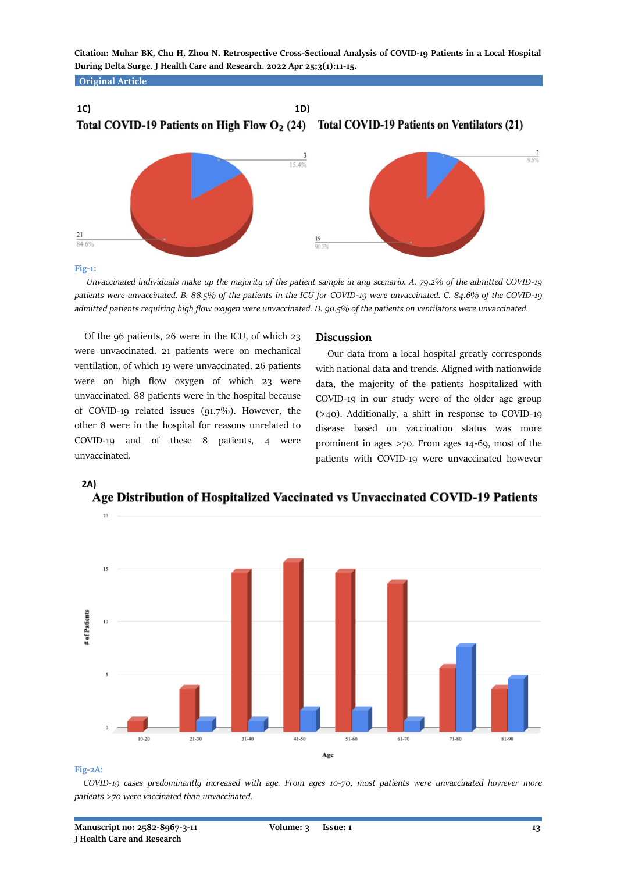**Original Article**





**Fig-1:**

 *Unvaccinated individuals make up the majority of the patient sample in any scenario. A. 79.2% of the admitted COVID-19 patients were unvaccinated. B. 88.5% of the patients in the ICU for COVID-19 were unvaccinated. C. 84.6% of the COVID-19 admitted patients requiring high flow oxygen were unvaccinated. D. 90.5% of the patients on ventilators were unvaccinated.*

 Of the 96 patients, 26 were in the ICU, of which 23 were unvaccinated. 21 patients were on mechanical ventilation, of which 19 were unvaccinated. 26 patients were on high flow oxygen of which 23 were unvaccinated. 88 patients were in the hospital because of COVID-19 related issues (91.7%). However, the other 8 were in the hospital for reasons unrelated to COVID-19 and of these 8 patients, 4 were unvaccinated.

#### **Discussion**

 Our data from a local hospital greatly corresponds with national data and trends. Aligned with nationwide data, the majority of the patients hospitalized with COVID-19 in our study were of the older age group (>40). Additionally, a shift in response to COVID-19 disease based on vaccination status was more prominent in ages >70. From ages 14-69, most of the patients with COVID-19 were unvaccinated however



 **2A)** Age Distribution of Hospitalized Vaccinated vs Unvaccinated COVID-19 Patients

### **Fig-2A:**

 *COVID-19 cases predominantly increased with age. From ages 10-70, most patients were unvaccinated however more patients >70 were vaccinated than unvaccinated.*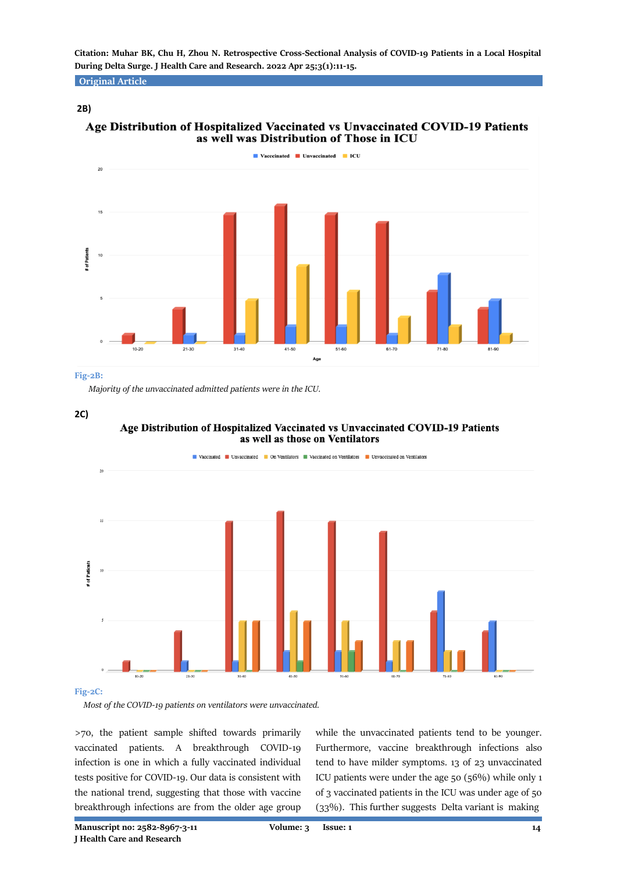**Original Article**

# **2B)**

# Age Distribution of Hospitalized Vaccinated vs Unvaccinated COVID-19 Patients as well was Distribution of Those in ICU



#### **Fig-2B:**

*Majority of the unvaccinated admitted patients were in the ICU.*

**<sup>2</sup>C)**





*Most of the COVID-19 patients on ventilators were unvaccinated.*

>70, the patient sample shifted towards primarily vaccinated patients. A breakthrough COVID-19 infection is one in which a fully vaccinated individual tests positive for COVID-19. Our data is consistent with the national trend, suggesting that those with vaccine breakthrough infections are from the older age group

while the unvaccinated patients tend to be younger. Furthermore, vaccine breakthrough infections also tend to have milder symptoms. 13 of 23 unvaccinated ICU patients were under the age 50 (56%) while only 1 of 3 vaccinated patients in the ICU was under age of 50 (33%). This further suggests Delta variant is making